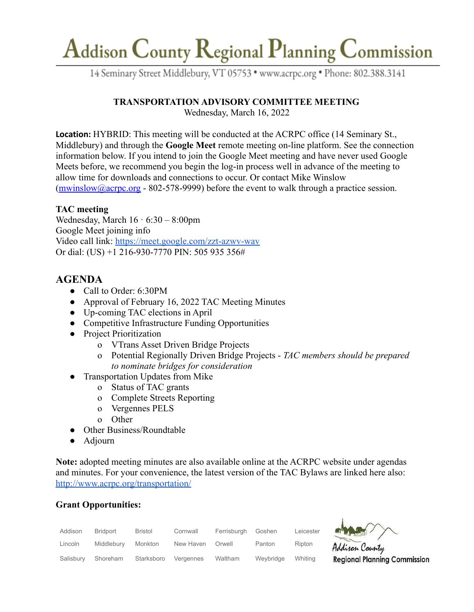# Addison County Regional Planning Commission

14 Seminary Street Middlebury, VT 05753 · www.acrpc.org · Phone: 802.388.3141

### **TRANSPORTATION ADVISORY COMMITTEE MEETING**

Wednesday, March 16, 2022

**Location:** HYBRID: This meeting will be conducted at the ACRPC office (14 Seminary St., Middlebury) and through the **Google Meet** remote meeting on-line platform. See the connection information below. If you intend to join the Google Meet meeting and have never used Google Meets before, we recommend you begin the log-in process well in advance of the meeting to allow time for downloads and connections to occur. Or contact Mike Winslow  $(mwinslow@acrpc.org - 802-578-9999)$  $(mwinslow@acrpc.org - 802-578-9999)$  $(mwinslow@acrpc.org - 802-578-9999)$  before the event to walk through a practice session.

#### **TAC meeting**

Wednesday, March  $16 \cdot 6:30 - 8:00$ pm Google Meet joining info Video call link: <https://meet.google.com/zzt-azwv-wav> Or dial: (US) +1 216-930-7770 PIN: 505 935 356#

## **AGENDA**

- Call to Order: 6:30PM
- Approval of February 16, 2022 TAC Meeting Minutes
- Up-coming TAC elections in April
- Competitive Infrastructure Funding Opportunities
- Project Prioritization
	- o VTrans Asset Driven Bridge Projects
	- o Potential Regionally Driven Bridge Projects *TAC members should be prepared to nominate bridges for consideration*
- **Transportation Updates from Mike** 
	- o Status of TAC grants
	- o Complete Streets Reporting
	- o Vergennes PELS
	- o Other
- Other Business/Roundtable
- Adjourn

**Note:** adopted meeting minutes are also available online at the ACRPC website under agendas and minutes. For your convenience, the latest version of the TAC Bylaws are linked here also: [http://www.acrpc.org/transportation/](https://acrpc.org/wp-content/uploads/2021/04/ACRPC_TAC_Bylaws_Adopted_200401.pdf)

### **Grant Opportunities:**

| Addison   | <b>Bridport</b> | <b>Bristol</b> | Cornwall  | Ferrisburgh | Goshen    | Leicester | 麻<br>$\overline{}$ |
|-----------|-----------------|----------------|-----------|-------------|-----------|-----------|--------------------|
| Lincoln   | Middlebury      | Monkton        | New Haven | Orwell      | Panton    | Ripton    | Ad                 |
| Salisbury | Shoreham        | Starksboro     | Vergennes | Waltham     | Weybridge | Whiting   | Re                 |



gional Planning Commission